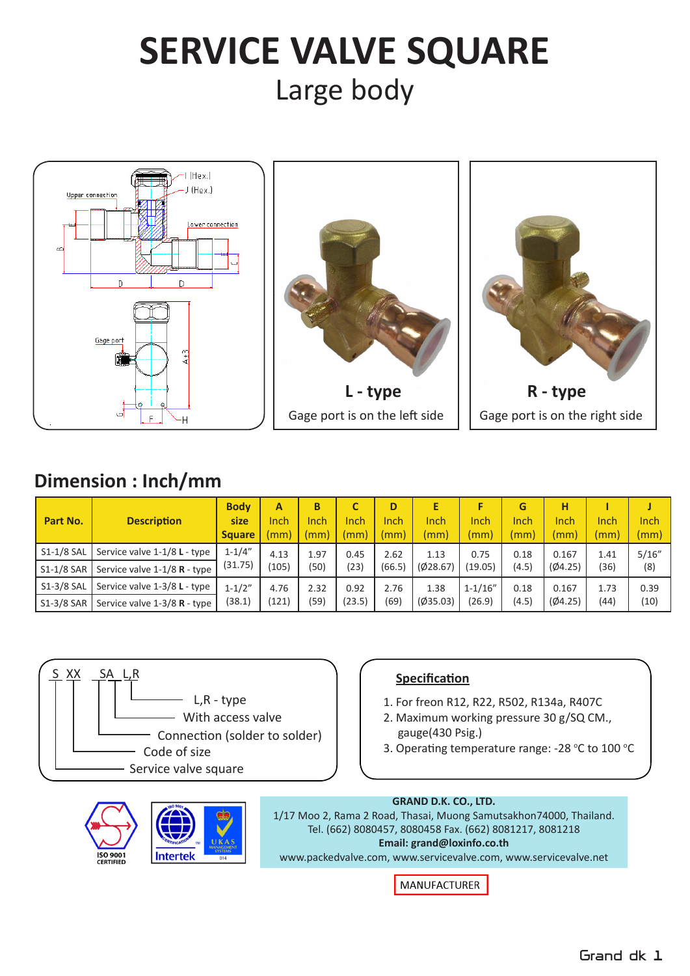# **SERVICE VALVE SQUARE** Large body







# **Dimension : Inch/mm**

| Part No.     | <b>Description</b>             | <b>Body</b><br>size<br><b>Square</b> | A<br>Inch<br>mm) | В<br>Inch<br>(mm) | Inch<br>mm) | D<br>Inch<br>(mm) | E<br>Inch<br>(mm) | Inch<br>(mm) | G<br>Inch<br>(mm) | н<br>Inch<br>(mm) | Inch<br>(mm) | Inch<br>(mm) |
|--------------|--------------------------------|--------------------------------------|------------------|-------------------|-------------|-------------------|-------------------|--------------|-------------------|-------------------|--------------|--------------|
| S1-1/8 SAL   | Service valve 1-1/8 L - type   | $1 - 1/4"$                           | 4.13             | 1.97              | 0.45        | 2.62              | 1.13              | 0.75         | 0.18              | 0.167             | 1.41         | 5/16''       |
| S1-1/8 SAR   | Service valve $1-1/8$ R - type | (31.75)                              | (105)            | (50)              | (23)        | (66.5)            | (Ø28.67)          | (19.05)      | (4.5)             | (04.25)           | '36)         | (8)          |
| S1-3/8 SAL   | Service valve 1-3/8 L - type   | $1 - 1/2"$                           | 4.76             | 2.32              | 0.92        | 2.76              | 1.38              | $1 - 1/16"$  | 0.18              | 0.167             | 1.73         | 0.39         |
| $S1-3/8$ SAR | Service valve 1-3/8 R - type   | (38.1)                               | (121)            | (59)              | (23.5)      | (69)              | (Ø35.03)          | (26.9)       | (4.5)             | (04.25)           | (44)         | (10)         |



- 1. For freon R12, R22, R502, R134a, R407C
- 2. Maximum working pressure 30 g/SQ CM., gauge(430 Psig.)
- 3. Operating temperature range: -28 °C to 100 °C





#### **GRAND D.K. CO., LTD.**

1/17 Moo 2, Rama 2 Road, Thasai, Muong Samutsakhon74000, Thailand. Tel. (662) 8080457, 8080458 Fax. (662) 8081217, 8081218 **Email: grand@loxinfo.co.th**

www.packedvalve.com, www.servicevalve.com, www.servicevalve.net

**MANUFACTURER**